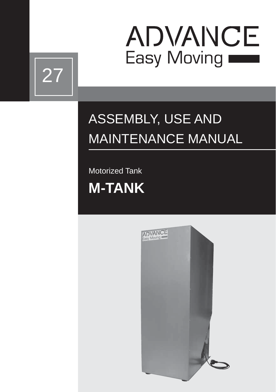

# 27

# ASSEMBLY, USE AND MAINTENANCE MANUAL

## Motorized Tank **M-TANK**

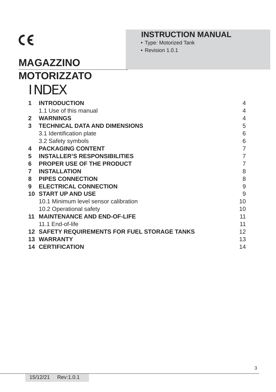# $c \in$

### **INSTRUCTION MANUAL**

- Type: Motorized Tank
- Revision 1.0.1

### **MAGAZZINO MOTORIZZATO** INDEX

| 1              | <b>INTRODUCTION</b>                                  | 4              |
|----------------|------------------------------------------------------|----------------|
|                | 1.1 Use of this manual                               | $\overline{4}$ |
| $\overline{2}$ | <b>WARNINGS</b>                                      | $\overline{4}$ |
| 3              | <b>TECHNICAL DATA AND DIMENSIONS</b>                 | 5              |
|                | 3.1 Identification plate                             | 6              |
|                | 3.2 Safety symbols                                   | 6              |
| 4              | <b>PACKAGING CONTENT</b>                             | 7              |
| 5              | <b>INSTALLER'S RESPONSIBILITIES</b>                  | $\overline{7}$ |
| 6              | PROPER USE OF THE PRODUCT                            | 7              |
| 7              | <b>INSTALLATION</b>                                  | 8              |
| 8              | <b>PIPES CONNECTION</b>                              | 8              |
| 9              | <b>ELECTRICAL CONNECTION</b>                         | 9              |
|                | <b>10 START UP AND USE</b>                           | 9              |
|                | 10.1 Minimum level sensor calibration                | 10             |
|                | 10.2 Operational safety                              | 10             |
| 11             | <b>MAINTENANCE AND END-OF-LIFE</b>                   | 11             |
|                | 11.1 End-of-life                                     | 11             |
|                | <b>12 SAFETY REQUIREMENTS FOR FUEL STORAGE TANKS</b> | 12             |
|                | <b>13 WARRANTY</b>                                   | 13             |
|                | <b>14 CERTIFICATION</b>                              | 14             |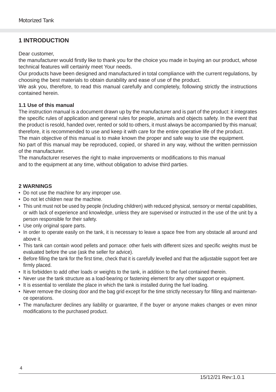#### **1 INTRODUCTION**

Dear customer,

the manufacturer would firstly like to thank you for the choice you made in buying an our product, whose technical features will certainly meet Your needs.

Our products have been designed and manufactured in total compliance with the current regulations, by choosing the best materials to obtain durability and ease of use of the product.

We ask you, therefore, to read this manual carefully and completely, following strictly the instructions contained herein.

#### **1.1 Use of this manual**

The instruction manual is a document drawn up by the manufacturer and is part of the product: it integrates the specific rules of application and general rules for people, animals and objects safety. In the event that the product is resold, handed over, rented or sold to others, it must always be accompanied by this manual; therefore, it is recommended to use and keep it with care for the entire operative life of the product. The main objective of this manual is to make known the proper and safe way to use the equipment. No part of this manual may be reproduced, copied, or shared in any way, without the written permission

of the manufacturer.

The manufacturer reserves the right to make improvements or modifications to this manual and to the equipment at any time, without obligation to advise third parties.

#### **2 WARNINGS**

- Do not use the machine for any improper use.
- Do not let children near the machine.
- This unit must not be used by people (including children) with reduced physical, sensory or mental capabilities, or with lack of experience and knowledge, unless they are supervised or instructed in the use of the unit by a person responsible for their safety.
- Use only original spare parts.
- In order to operate easily on the tank, it is necessary to leave a space free from any obstacle all around and above it.
- This tank can contain wood pellets and pomace: other fuels with different sizes and specific weights must be evaluated before the use (ask the seller for advice).
- Before filling the tank for the first time, check that it is carefully levelled and that the adjustable support feet are firmly placed.
- It is forbidden to add other loads or weights to the tank, in addition to the fuel contained therein.
- Never use the tank structure as a load-bearing or fastening element for any other support or equipment.
- It is essential to ventilate the place in which the tank is installed during the fuel loading.
- Never remove the closing door and the bag grid except for the time strictly necessary for filling and maintenance operations.
- The manufacturer declines any liability or guarantee, if the buyer or anyone makes changes or even minor modifications to the purchased product.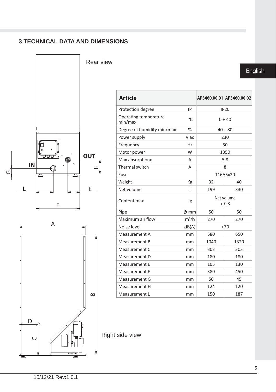#### **3 TECHNICAL DATA AND DIMENSIONS**



| <b>Article</b>                   |         |                     | AP3460.00.01 AP3460.00.02 |
|----------------------------------|---------|---------------------|---------------------------|
| Protection degree                | IP      |                     | <b>IP20</b>               |
| Operating temperature<br>min/max | °C      | $0 \div 40$         |                           |
| Degree of humidity min/max       | %       | $40 \div 80$        |                           |
| Power supply                     | V ac    | 230                 |                           |
| Frequency                        | Hz      | 50                  |                           |
| Motor power                      | W       | 1350                |                           |
| Max absorptionx                  | А       | 5,8                 |                           |
| Thermal switch                   | A       | 8                   |                           |
| Fuse                             |         | T16A5x20            |                           |
| Weight                           | Kg      | 32                  | 40                        |
| Net volume                       | ı       | 199                 | 330                       |
| Content max                      | kg      | Net volume<br>x 0,8 |                           |
| Pipe                             | Ø mm    | 50                  | 50                        |
| Maximum air flow                 | $m^3/h$ | 270                 | 270                       |
| Noise level                      | dB(A)   | ${<}70$             |                           |
| Measurement A                    | mm      | 580                 | 650                       |
| Measurement B                    | mm      | 1040                | 1320                      |
| Measurement C                    | mm      | 303                 | 303                       |
| Measurement D                    | mm      | 180                 | 180                       |
| Measurement E                    | mm      | 105                 | 130                       |
| <b>Measurement F</b>             | mm      | 380                 | 450                       |
| Measurement G                    | mm      | 50                  | 45                        |
| Measurement H                    | mm      | 124                 | 120                       |
| Measurement L                    | mm      | 150                 | 187                       |

Right side view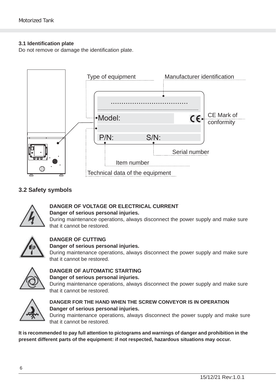#### **3.1 Identifi cation plate**

Do not remove or damage the identification plate.



#### **3.2 Safety symbols**



#### **DANGER OF VOLTAGE OR ELECTRICAL CURRENT Danger of serious personal injuries.**

During maintenance operations, always disconnect the power supply and make sure that it cannot be restored.



#### **DANGER OF CUTTING**

#### **Danger of serious personal injuries.**

During maintenance operations, always disconnect the power supply and make sure that it cannot be restored.



#### **DANGER OF AUTOMATIC STARTING**

**Danger of serious personal injuries.**

During maintenance operations, always disconnect the power supply and make sure that it cannot be restored.



#### **DANGER FOR THE HAND WHEN THE SCREW CONVEYOR IS IN OPERATION Danger of serious personal injuries.**

During maintenance operations, always disconnect the power supply and make sure that it cannot be restored.

**It is recommended to pay full attention to pictograms and warnings of danger and prohibition in the present different parts of the equipment: if not respected, hazardous situations may occur.**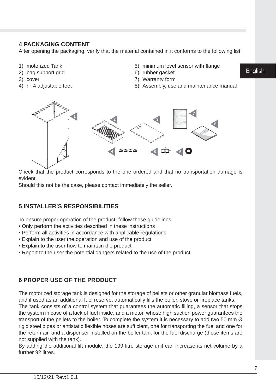#### **4 PACKAGING CONTENT**

After opening the packaging, verify that the material contained in it conforms to the following list:

- 1) motorized Tank
- 2) bag support grid
- 3) cover
- 4) n° 4 adjustable feet
- 5) minimum level sensor with flange
- 6) rubber gasket
- 7) Warranty form
- 8) Assembly, use and maintenance manual



Check that the product corresponds to the one ordered and that no transportation damage is evident.

Should this not be the case, please contact immediately the seller.

#### **5 INSTALLER'S RESPONSIBILITIES**

To ensure proper operation of the product, follow these guidelines:

- Only perform the activities described in these instructions
- Perform all activities in accordance with applicable regulations
- Explain to the user the operation and use of the product
- Explain to the user how to maintain the product
- Report to the user the potential dangers related to the use of the product

#### **6 PROPER USE OF THE PRODUCT**

The motorized storage tank is designed for the storage of pellets or other granular biomass fuels, and if used as an additional fuel reserve, automatically fills the boiler, stove or fireplace tanks. The tank consists of a control system that quarantees the automatic filling, a sensor that stops the system in case of a lack of fuel inside, and a motor, whose high suction power guarantees the transport of the pellets to the boiler. To complete the system it is necessary to add two 50 mm  $\varnothing$ rigid steel pipes or antistatic flexible hoses are sufficient, one for transporting the fuel and one for the return air, and a dispenser installed on the boiler tank for the fuel discharge (these items are not supplied with the tank).

By adding the additional lift module, the 199 litre storage unit can increase its net volume by a further 92 litres.

#### 7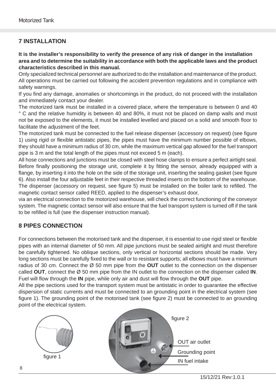#### **7 INSTALLATION**

**It is the installer's responsibility to verify the presence of any risk of danger in the installation area and to determine the suitability in accordance with both the applicable laws and the product characteristics described in this manual.**

Only specialized technical personnel are authorized to do the installation and maintenance of the product. All operations must be carried out following the accident prevention regulations and in compliance with safety warnings.

If you find any damage, anomalies or shortcomings in the product, do not proceed with the installation and immediately contact your dealer.

The motorized tank must be installed in a covered place, where the temperature is between 0 and 40 ° C and the relative humidity is between 40 and 80%, it must not be placed on damp walls and must not be exposed to the elements, it must be installed levelled and placed on a solid and smooth floor to facilitate the adjustment of the feet.

The motorized tank must be connected to the fuel release dispenser (accessory on request) (see figure 1) using rigid or flexible antistatic pipes, the pipes must have the minimum number possible of elbows, they should have a minimum radius of 30 cm, while the maximum vertical gap allowed for the fuel transport pipe is 3 m and the total length of the pipes must not exceed 5 m (each).

All hose connections and junctions must be closed with steel hose clamps to ensure a perfect airtight seal. Before finally positioning the storage unit, complete it by fitting the sensor, already equipped with a flange, by inserting it into the hole on the side of the storage unit, inserting the sealing gasket (see figure 6). Also install the four adjustable feet in their respective threaded inserts on the bottom of the warehouse. The dispenser (accessory on request, see figure 5) must be installed on the boiler tank to refilled. The magnetic contact sensor called REED, applied to the dispenser's exhaust door,

via an electrical connection to the motorized warehouse, will check the correct functioning of the conveyor system. The magnetic contact sensor will also ensure that the fuel transport system is turned off if the tank to be refilled is full (see the dispenser instruction manual).

#### **8 PIPES CONNECTION**

For connections between the motorised tank and the dispenser, it is essential to use rigid steel or flexible pipes with an internal diameter of 50 mm. All pipe junctions must be sealed airtight and must therefore be carefully tightened. No oblique sections, only vertical or horizontal sections should be made. Very long sections must be carefully fixed to the wall or to resistant supports; all elbows must have a minimum radius of 30 cm. Connect the Ø 50 mm pipe from the **OUT** outlet to the connection on the dispenser called **OUT**, connect the Ø 50 mm pipe from the IN outlet to the connection on the dispenser called **IN**. Fuel will flow through the **IN** pipe, while only air and dust will flow through the **OUT** pipe.

All the pipe sections used for the transport system must be antistatic in order to guarantee the effective dispersion of static currents and must be connected to an grounding point in the electrical system (see figure 1). The grounding point of the motorised tank (see figure 2) must be connected to an grounding point of the electrical system.

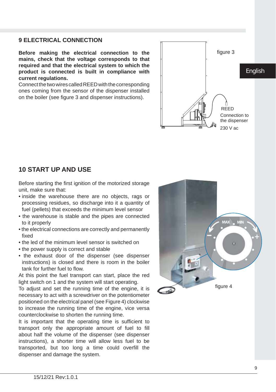#### **9 ELECTRICAL CONNECTION**

**Before making the electrical connection to the mains, check that the voltage corresponds to that required and that the electrical system to which the product is connected is built in compliance with current regulations.**

Connect the two wires called REED with the corresponding ones coming from the sensor of the dispenser installed on the boiler (see figure 3 and dispenser instructions).



#### **10 START UP AND USE**

Before starting the first ignition of the motorized storage unit, make sure that:

- inside the warehouse there are no objects, rags or processing residues, so discharge into it a quantity of fuel (pellets) that exceeds the minimum level sensor
- the warehouse is stable and the pipes are connected to it properly
- the electrical connections are correctly and permanently fixed
- the led of the minimum level sensor is switched on
- the power supply is correct and stable
- the exhaust door of the dispenser (see dispenser instructions) is closed and there is room in the boiler tank for further fuel to flow.

At this point the fuel transport can start, place the red light switch on 1 and the system will start operating.

To adjust and set the running time of the engine, it is necessary to act with a screwdriver on the potentiometer positioned on the electrical panel (see Figure 4) clockwise to increase the running time of the engine, vice versa counterclockwise to shorten the running time.

It is important that the operating time is sufficient to transport only the appropriate amount of fuel to fill about half the volume of the dispenser (see dispenser instructions), a shorter time will allow less fuel to be transported, but too long a time could overfill the dispenser and damage the system.

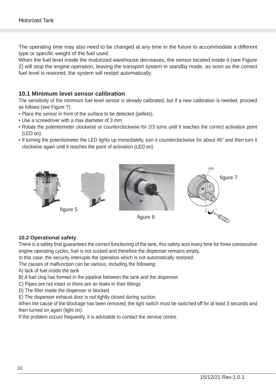The operating time may also need to be changed at any time in the future to accommodate a different type or specific weight of the fuel used.

When the fuel level inside the motorized warehouse decreases, the sensor located inside it (see Figure 2) will stop the engine operation, leaving the transport system in standby mode, as soon as the correct fuel level is restored, the system will restart automatically.

#### **10.1 Minimum level sensor calibration**

The sensitivity of the minimum fuel level sensor is already calibrated, but if a new calibration is needed, proceed as follows (see Figure 7):

- Place the sensor in front of the surface to be detected (pellets).
- Use a screwdriver with a max diameter of 3 mm.
- Rotate the potentiometer clockwise or counterclockwise for 2/3 turns until it reaches the correct activation point  $($ I FD on).
- If turning the potentiometer the LED lights up immediately, turn it counterclockwise for about 45° and then turn it clockwise again until it reaches the point of activation (LED on).



#### **10.2 Operational safety**

There is a safety that guarantees the correct functioning of the tank, this safety acts every time for three consecutive engine operating cycles, fuel is not sucked and therefore the dispenser remains empty.

In this case, the security interrupts the operation which is not automatically restored.

The causes of malfunction can be various, including the following:

- A) lack of fuel inside the tank
- B) A fuel clog has formed in the pipeline between the tank and the dispenser.
- C) Pipes are not intact or there are air leaks in their fittings
- D) The filter inside the dispenser is blocked

E) The dispenser exhaust door is not tightly closed during suction.

When the cause of the blockage has been removed, the light switch must be switched off for at least 3 seconds and then turned on again (light on).

If the problem occurs frequently, it is advisable to contact the service centre.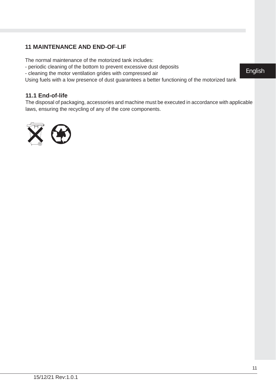#### **11 MAINTENANCE AND END-OF-LIF**

The normal maintenance of the motorized tank includes:

- periodic cleaning of the bottom to prevent excessive dust deposits

- cleaning the motor ventilation grides with compressed air

Using fuels with a low presence of dust guarantees a better functioning of the motorized tank

#### **11.1 End-of-life**

The disposal of packaging, accessories and machine must be executed in accordance with applicable laws, ensuring the recycling of any of the core components.

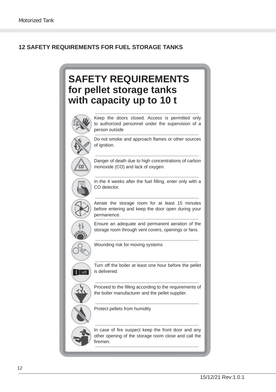#### **12 SAFETY REQUIREMENTS FOR FUEL STORAGE TANKS**

### **SAFETY REQUIREMENTS for pellet storage tanks with capacity up to 10 t**



Keep the doors closed. Access is permitted only to authorized personnel under the supervision of a person outside



Do not smoke and approach flames or other sources of ignition.



 $\overline{\phantom{a}}$  off

Danger of death due to high concentrations of carbon monoxide (CO) and lack of oxygen.

In the 4 weeks after the fuel filling, enter only with a CO detector.

Aerate the storage room for at least 15 minutes before entering and keep the door open during your permanence.



Wounding risk for moving systems

Turn off the boiler at least one hour before the pellet is delivered.

Proceed to the filling according to the requirements of the boiler manufacturer and the pellet supplier.

Protect pellets from humidity

In case of fire suspect keep the front door and any other opening of the storage room close and call the firemen.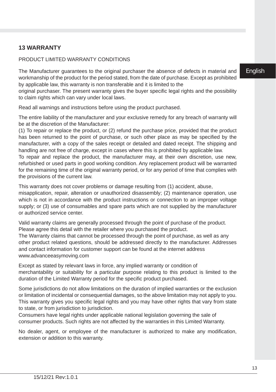#### **13 WARRANTY**

#### PRODUCT LIMITED WARRANTY CONDITIONS

The Manufacturer guarantees to the original purchaser the absence of defects in material and workmanship of the product for the period stated, from the date of purchase. Except as prohibited by applicable law, this warranty is non transferable and it is limited to the

original purchaser. The present warranty gives the buyer specific legal rights and the possibility to claim rights which can vary under local laws.

Read all warnings and instructions before using the product purchased.

The entire liability of the manufacturer and your exclusive remedy for any breach of warranty will be at the discretion of the Manufacturer:

(1) To repair or replace the product, or (2) refund the purchase price, provided that the product has been returned to the point of purchase, or such other place as may be specified by the manufacturer, with a copy of the sales receipt or detailed and dated receipt. The shipping and handling are not free of charge, except in cases where this is prohibited by applicable law.

To repair and replace the product, the manufacturer may, at their own discretion, use new, refurbished or used parts in good working condition. Any replacement product will be warranted for the remaining time of the original warranty period, or for any period of time that complies with the provisions of the current law.

This warranty does not cover problems or damage resulting from (1) accident, abuse,

misapplication, repair, alteration or unauthorized disassembly; (2) maintenance operation, use which is not in accordance with the product instructions or connection to an improper voltage supply; or (3) use of consumables and spare parts which are not supplied by the manufacturer or authorized service center.

Valid warranty claims are generally processed through the point of purchase of the product. Please agree this detail with the retailer where you purchased the product.

The Warranty claims that cannot be processed through the point of purchase, as well as any other product related questions, should be addressed directly to the manufacturer. Addresses and contact information for customer support can be found at the internet address www.advanceeasymoving.com

Except as stated by relevant laws in force, any implied warranty or condition of merchantability or suitability for a particular purpose relating to this product is limited to the duration of the Limited Warranty period for the specific product purchased.

Some jurisdictions do not allow limitations on the duration of implied warranties or the exclusion or limitation of incidental or consequential damages, so the above limitation may not apply to you. This warranty gives you specific legal rights and you may have other rights that vary from state to state, or from jurisdiction to jurisdiction.

Consumers have legal rights under applicable national legislation governing the sale of consumer products. Such rights are not affected by the warranties in this Limited Warranty.

No dealer, agent, or employee of the manufacturer is authorized to make any modification, extension or addition to this warranty.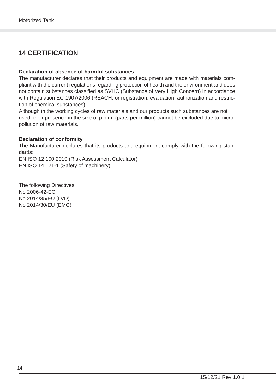#### **14 CERTIFICATION**

#### **Declaration of absence of harmful substances**

The manufacturer declares that their products and equipment are made with materials compliant with the current regulations regarding protection of health and the environment and does not contain substances classified as SVHC (Substance of Very High Concern) in accordance with Regulation EC 1907/2006 (REACH, or registration, evaluation, authorization and restriction of chemical substances).

Although in the working cycles of raw materials and our products such substances are not used, their presence in the size of p.p.m. (parts per million) cannot be excluded due to micropollution of raw materials.

#### **Declaration of conformity**

The Manufacturer declares that its products and equipment comply with the following standards:

EN ISO 12 100:2010 (Risk Assessment Calculator) EN ISO 14 121-1 (Safety of machinery)

The following Directives: No 2006-42-EC No 2014/35/EU (LVD) No 2014/30/EU (EMC)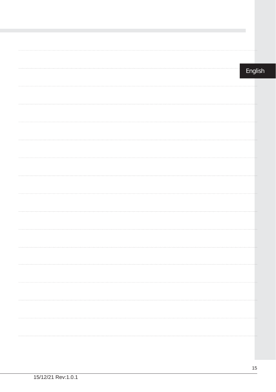| English |
|---------|
|         |
|         |
|         |
|         |
|         |
|         |
|         |
|         |
|         |
|         |
|         |
|         |
|         |
|         |
|         |
|         |
|         |
|         |
|         |
|         |
|         |
|         |
|         |
|         |
|         |
|         |